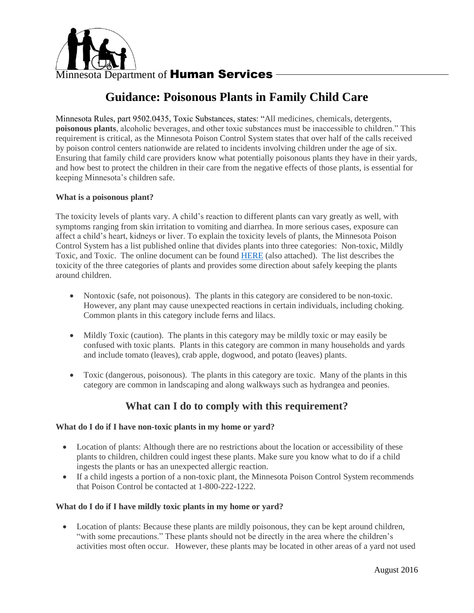

# **Guidance: Poisonous Plants in Family Child Care**

Minnesota Rules, part 9502.0435, Toxic Substances, states: "All medicines, chemicals, detergents, **poisonous plants**, alcoholic beverages, and other toxic substances must be inaccessible to children." This requirement is critical, as the Minnesota Poison Control System states that over half of the calls received by poison control centers nationwide are related to incidents involving children under the age of six. Ensuring that family child care providers know what potentially poisonous plants they have in their yards, and how best to protect the children in their care from the negative effects of those plants, is essential for keeping Minnesota's children safe.

#### **What is a poisonous plant?**

The toxicity levels of plants vary. A child's reaction to different plants can vary greatly as well, with symptoms ranging from skin irritation to vomiting and diarrhea. In more serious cases, exposure can affect a child's heart, kidneys or liver. To explain the toxicity levels of plants, the Minnesota Poison Control System has a list published online that divides plants into three categories: Non-toxic, Mildly Toxic, and Toxic. The online document can be found [HERE](http://www.mnpoison.org/cs/groups/public/documents/webcontent/poison_scraped_60.pdf) (also attached). The list describes the toxicity of the three categories of plants and provides some direction about safely keeping the plants around children.

- Nontoxic (safe, not poisonous). The plants in this category are considered to be non-toxic. However, any plant may cause unexpected reactions in certain individuals, including choking. Common plants in this category include ferns and lilacs.
- Mildly Toxic (caution). The plants in this category may be mildly toxic or may easily be confused with toxic plants. Plants in this category are common in many households and yards and include tomato (leaves), crab apple, dogwood, and potato (leaves) plants.
- Toxic (dangerous, poisonous). The plants in this category are toxic. Many of the plants in this category are common in landscaping and along walkways such as hydrangea and peonies.

# **What can I do to comply with this requirement?**

#### **What do I do if I have non-toxic plants in my home or yard?**

- Location of plants: Although there are no restrictions about the location or accessibility of these plants to children, children could ingest these plants. Make sure you know what to do if a child ingests the plants or has an unexpected allergic reaction.
- If a child ingests a portion of a non-toxic plant, the Minnesota Poison Control System recommends that Poison Control be contacted at 1-800-222-1222.

### **What do I do if I have mildly toxic plants in my home or yard?**

 Location of plants: Because these plants are mildly poisonous, they can be kept around children, "with some precautions." These plants should not be directly in the area where the children's activities most often occur. However, these plants may be located in other areas of a yard not used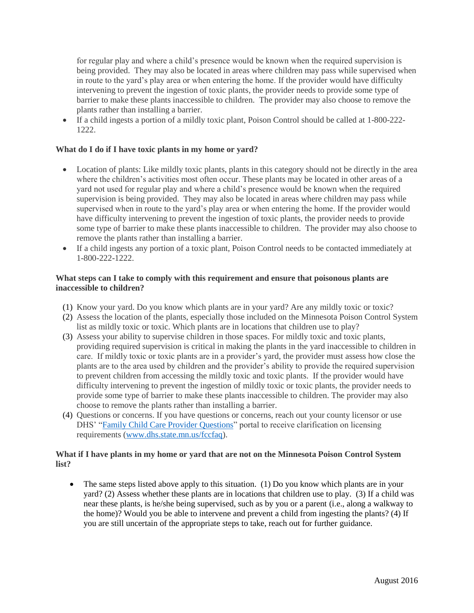for regular play and where a child's presence would be known when the required supervision is being provided. They may also be located in areas where children may pass while supervised when in route to the yard's play area or when entering the home. If the provider would have difficulty intervening to prevent the ingestion of toxic plants, the provider needs to provide some type of barrier to make these plants inaccessible to children. The provider may also choose to remove the plants rather than installing a barrier.

 If a child ingests a portion of a mildly toxic plant, Poison Control should be called at 1-800-222- 1222.

# **What do I do if I have toxic plants in my home or yard?**

- Location of plants: Like mildly toxic plants, plants in this category should not be directly in the area where the children's activities most often occur. These plants may be located in other areas of a yard not used for regular play and where a child's presence would be known when the required supervision is being provided. They may also be located in areas where children may pass while supervised when in route to the yard's play area or when entering the home. If the provider would have difficulty intervening to prevent the ingestion of toxic plants, the provider needs to provide some type of barrier to make these plants inaccessible to children. The provider may also choose to remove the plants rather than installing a barrier.
- If a child ingests any portion of a toxic plant, Poison Control needs to be contacted immediately at 1-800-222-1222.

#### **What steps can I take to comply with this requirement and ensure that poisonous plants are inaccessible to children?**

- (1) Know your yard. Do you know which plants are in your yard? Are any mildly toxic or toxic?
- (2) Assess the location of the plants, especially those included on the Minnesota Poison Control System list as mildly toxic or toxic. Which plants are in locations that children use to play?
- (3) Assess your ability to supervise children in those spaces. For mildly toxic and toxic plants, providing required supervision is critical in making the plants in the yard inaccessible to children in care. If mildly toxic or toxic plants are in a provider's yard, the provider must assess how close the plants are to the area used by children and the provider's ability to provide the required supervision to prevent children from accessing the mildly toxic and toxic plants. If the provider would have difficulty intervening to prevent the ingestion of mildly toxic or toxic plants, the provider needs to provide some type of barrier to make these plants inaccessible to children. The provider may also choose to remove the plants rather than installing a barrier.
- (4) Questions or concerns. If you have questions or concerns, reach out your county licensor or use DHS' "Family [Child Care Provider Questions"](http://www.dhs.state.mn.us/main/idcplg?IdcService=GET_DYNAMIC_CONVERSION&RevisionSelectionMethod=LatestReleased&dDocName=DHS-285366) portal to receive clarification on licensing requirements [\(www.dhs.state.mn.us/fccfaq\)](http://www.dhs.state.mn.us/fccfaq).

#### **What if I have plants in my home or yard that are not on the Minnesota Poison Control System list?**

• The same steps listed above apply to this situation. (1) Do you know which plants are in your yard? (2) Assess whether these plants are in locations that children use to play. (3) If a child was near these plants, is he/she being supervised, such as by you or a parent (i.e., along a walkway to the home)? Would you be able to intervene and prevent a child from ingesting the plants? (4) If you are still uncertain of the appropriate steps to take, reach out for further guidance.